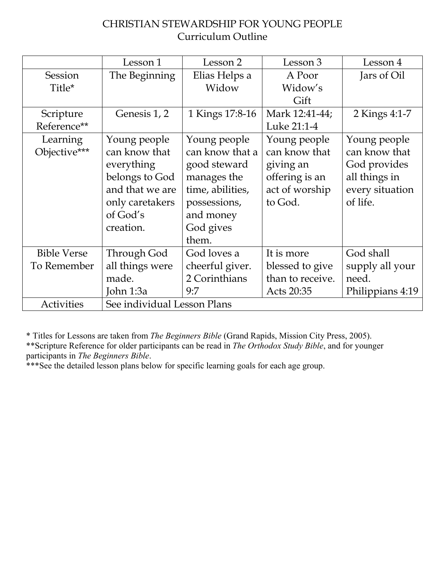## CHRISTIAN STEWARDSHIP FOR YOUNG PEOPLE Curriculum Outline

|                    | Lesson 1                    | Lesson 2         | Lesson 3         | Lesson 4         |
|--------------------|-----------------------------|------------------|------------------|------------------|
| Session            | The Beginning               | Elias Helps a    | A Poor           | Jars of Oil      |
| Title*             |                             | Widow            | Widow's          |                  |
|                    |                             |                  | Gift             |                  |
| Scripture          | Genesis 1, 2                | 1 Kings 17:8-16  | Mark 12:41-44;   | 2 Kings 4:1-7    |
| Reference**        |                             |                  | Luke 21:1-4      |                  |
| Learning           | Young people                | Young people     | Young people     | Young people     |
| Objective***       | can know that               | can know that a  | can know that    | can know that    |
|                    | everything                  | good steward     | giving an        | God provides     |
|                    | belongs to God              | manages the      | offering is an   | all things in    |
|                    | and that we are             | time, abilities, | act of worship   | every situation  |
|                    | only caretakers             | possessions,     | to God.          | of life.         |
|                    | of God's                    | and money        |                  |                  |
|                    | creation.                   | God gives        |                  |                  |
|                    |                             | them.            |                  |                  |
| <b>Bible Verse</b> | Through God                 | God loves a      | It is more       | God shall        |
| To Remember        | all things were             | cheerful giver.  | blessed to give  | supply all your  |
|                    | made.                       | 2 Corinthians    | than to receive. | need.            |
|                    | John 1:3a                   | 9:7              | Acts 20:35       | Philippians 4:19 |
| Activities         | See individual Lesson Plans |                  |                  |                  |

\* Titles for Lessons are taken from *The Beginners Bible* (Grand Rapids, Mission City Press, 2005).

\*\*Scripture Reference for older participants can be read in *The Orthodox Study Bible*, and for younger participants in *The Beginners Bible*.

\*\*\*See the detailed lesson plans below for specific learning goals for each age group.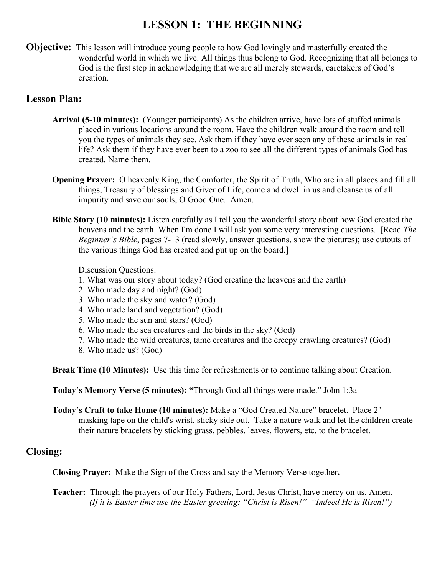## **LESSON 1: THE BEGINNING**

**Objective:** This lesson will introduce young people to how God lovingly and masterfully created the wonderful world in which we live. All things thus belong to God. Recognizing that all belongs to God is the first step in acknowledging that we are all merely stewards, caretakers of God's creation.

### **Lesson Plan:**

- **Arrival (5-10 minutes):** (Younger participants) As the children arrive, have lots of stuffed animals placed in various locations around the room. Have the children walk around the room and tell you the types of animals they see. Ask them if they have ever seen any of these animals in real life? Ask them if they have ever been to a zoo to see all the different types of animals God has created. Name them.
- **Opening Prayer:** O heavenly King, the Comforter, the Spirit of Truth, Who are in all places and fill all things, Treasury of blessings and Giver of Life, come and dwell in us and cleanse us of all impurity and save our souls, O Good One. Amen.
- **Bible Story (10 minutes):** Listen carefully as I tell you the wonderful story about how God created the heavens and the earth. When I'm done I will ask you some very interesting questions. [Read *The Beginner's Bible*, pages 7-13 (read slowly, answer questions, show the pictures); use cutouts of the various things God has created and put up on the board.]

Discussion Questions:

- 1. What was our story about today? (God creating the heavens and the earth)
- 2. Who made day and night? (God)
- 3. Who made the sky and water? (God)
- 4. Who made land and vegetation? (God)
- 5. Who made the sun and stars? (God)
- 6. Who made the sea creatures and the birds in the sky? (God)
- 7. Who made the wild creatures, tame creatures and the creepy crawling creatures? (God)
- 8. Who made us? (God)

**Break Time (10 Minutes):** Use this time for refreshments or to continue talking about Creation.

**Today's Memory Verse (5 minutes): "**Through God all things were made." John 1:3a

**Today's Craft to take Home (10 minutes):** Make a "God Created Nature" bracelet. Place 2" masking tape on the child's wrist, sticky side out. Take a nature walk and let the children create their nature bracelets by sticking grass, pebbles, leaves, flowers, etc. to the bracelet.

### **Closing:**

**Closing Prayer:** Make the Sign of the Cross and say the Memory Verse together**.**

**Teacher:** Through the prayers of our Holy Fathers, Lord, Jesus Christ, have mercy on us. Amen. *(If it is Easter time use the Easter greeting: "Christ is Risen!" "Indeed He is Risen!")*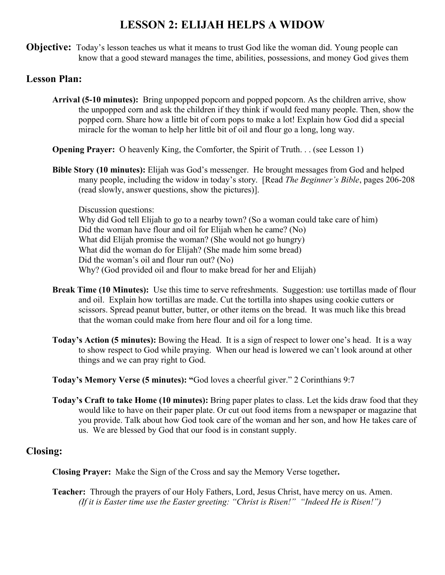## **LESSON 2: ELIJAH HELPS A WIDOW**

**Objective:** Today's lesson teaches us what it means to trust God like the woman did. Young people can know that a good steward manages the time, abilities, possessions, and money God gives them

### **Lesson Plan:**

- **Arrival (5-10 minutes):** Bring unpopped popcorn and popped popcorn. As the children arrive, show the unpopped corn and ask the children if they think if would feed many people. Then, show the popped corn. Share how a little bit of corn pops to make a lot! Explain how God did a special miracle for the woman to help her little bit of oil and flour go a long, long way.
- **Opening Prayer:** O heavenly King, the Comforter, the Spirit of Truth. . . (see Lesson 1)
- **Bible Story (10 minutes):** Elijah was God's messenger. He brought messages from God and helped many people, including the widow in today's story. [Read *The Beginner's Bible*, pages 206-208 (read slowly, answer questions, show the pictures)].

Discussion questions: Why did God tell Elijah to go to a nearby town? (So a woman could take care of him) Did the woman have flour and oil for Elijah when he came? (No) What did Elijah promise the woman? (She would not go hungry) What did the woman do for Elijah? (She made him some bread) Did the woman's oil and flour run out? (No) Why? (God provided oil and flour to make bread for her and Elijah)

- **Break Time (10 Minutes):** Use this time to serve refreshments. Suggestion: use tortillas made of flour and oil. Explain how tortillas are made. Cut the tortilla into shapes using cookie cutters or scissors. Spread peanut butter, butter, or other items on the bread. It was much like this bread that the woman could make from here flour and oil for a long time.
- **Today's Action (5 minutes):** Bowing the Head. It is a sign of respect to lower one's head. It is a way to show respect to God while praying. When our head is lowered we can't look around at other things and we can pray right to God.
- **Today's Memory Verse (5 minutes): "**God loves a cheerful giver." 2 Corinthians 9:7
- **Today's Craft to take Home (10 minutes):** Bring paper plates to class. Let the kids draw food that they would like to have on their paper plate. Or cut out food items from a newspaper or magazine that you provide. Talk about how God took care of the woman and her son, and how He takes care of us. We are blessed by God that our food is in constant supply.

### **Closing:**

**Closing Prayer:** Make the Sign of the Cross and say the Memory Verse together**.**

**Teacher:** Through the prayers of our Holy Fathers, Lord, Jesus Christ, have mercy on us. Amen. *(If it is Easter time use the Easter greeting: "Christ is Risen!" "Indeed He is Risen!")*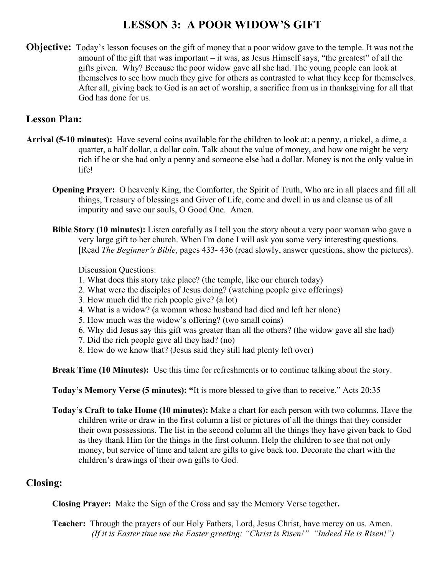# **LESSON 3: A POOR WIDOW'S GIFT**

**Objective:** Today's lesson focuses on the gift of money that a poor widow gave to the temple. It was not the amount of the gift that was important – it was, as Jesus Himself says, "the greatest" of all the gifts given. Why? Because the poor widow gave all she had. The young people can look at themselves to see how much they give for others as contrasted to what they keep for themselves. After all, giving back to God is an act of worship, a sacrifice from us in thanksgiving for all that God has done for us.

### **Lesson Plan:**

- **Arrival (5-10 minutes):** Have several coins available for the children to look at: a penny, a nickel, a dime, a quarter, a half dollar, a dollar coin. Talk about the value of money, and how one might be very rich if he or she had only a penny and someone else had a dollar. Money is not the only value in life!
	- **Opening Prayer:** O heavenly King, the Comforter, the Spirit of Truth, Who are in all places and fill all things, Treasury of blessings and Giver of Life, come and dwell in us and cleanse us of all impurity and save our souls, O Good One. Amen.
	- **Bible Story (10 minutes):** Listen carefully as I tell you the story about a very poor woman who gave a very large gift to her church. When I'm done I will ask you some very interesting questions. [Read *The Beginner's Bible*, pages 433- 436 (read slowly, answer questions, show the pictures).

Discussion Questions:

- 1. What does this story take place? (the temple, like our church today)
- 2. What were the disciples of Jesus doing? (watching people give offerings)
- 3. How much did the rich people give? (a lot)
- 4. What is a widow? (a woman whose husband had died and left her alone)
- 5. How much was the widow's offering? (two small coins)
- 6. Why did Jesus say this gift was greater than all the others? (the widow gave all she had)
- 7. Did the rich people give all they had? (no)
- 8. How do we know that? (Jesus said they still had plenty left over)

**Break Time (10 Minutes):** Use this time for refreshments or to continue talking about the story.

**Today's Memory Verse (5 minutes): "**It is more blessed to give than to receive." Acts 20:35

**Today's Craft to take Home (10 minutes):** Make a chart for each person with two columns. Have the children write or draw in the first column a list or pictures of all the things that they consider their own possessions. The list in the second column all the things they have given back to God as they thank Him for the things in the first column. Help the children to see that not only money, but service of time and talent are gifts to give back too. Decorate the chart with the children's drawings of their own gifts to God.

#### **Closing:**

**Closing Prayer:** Make the Sign of the Cross and say the Memory Verse together**.**

**Teacher:** Through the prayers of our Holy Fathers, Lord, Jesus Christ, have mercy on us. Amen. *(If it is Easter time use the Easter greeting: "Christ is Risen!" "Indeed He is Risen!")*